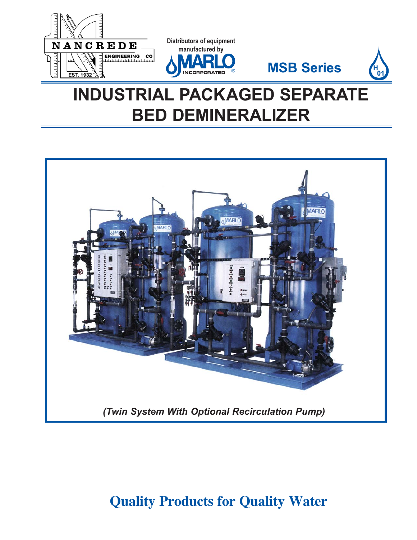





**H 01**





## **Quality Products for Quality Water**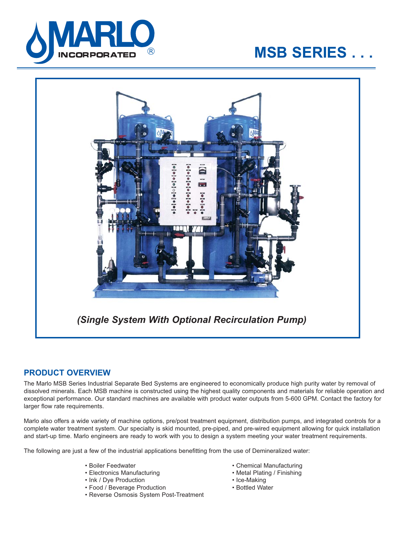

# **MSB SERIES . . .**



## **PRODUCT OVERVIEW**

The Marlo MSB Series Industrial Separate Bed Systems are engineered to economically produce high purity water by removal of dissolved minerals. Each MSB machine is constructed using the highest quality components and materials for reliable operation and exceptional performance. Our standard machines are available with product water outputs from 5-600 GPM. Contact the factory for larger flow rate requirements.

Marlo also offers a wide variety of machine options, pre/post treatment equipment, distribution pumps, and integrated controls for a complete water treatment system. Our specialty is skid mounted, pre-piped, and pre-wired equipment allowing for quick installation and start-up time. Marlo engineers are ready to work with you to design a system meeting your water treatment requirements.

The following are just a few of the industrial applications benefitting from the use of Demineralized water:

- 
- Electronics Manufacturing Metal Plating / Finishing
- 
- Ink / Dye Production Ice-Making • Food / Beverage Production
- Reverse Osmosis System Post-Treatment
- Boiler Feedwater Chemical Manufacturing
	-
	-
	-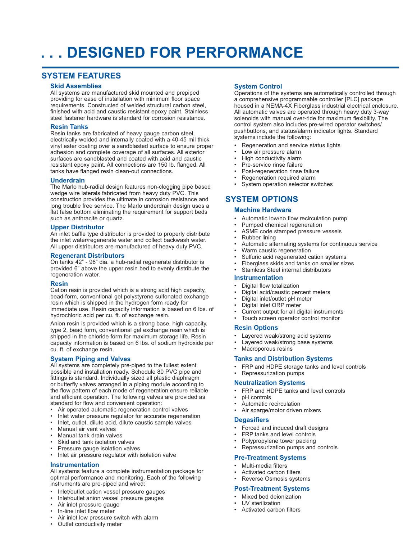# **. . . DESIGNED FOR PERFORMANCE**

## **SYSTEM FEATURES**

## **Skid Assemblies**

All systems are manufactured skid mounted and prepiped providing for ease of installation with minimum floor space requirements. Constructed of welded structural carbon steel, finished with acid and caustic resistant epoxy paint. Stainless steel fastener hardware is standard for corrosion resistance.

## **Resin Tanks**

Resin tanks are fabricated of heavy gauge carbon steel, electrically welded and internally coated with a 40-45 mil thick vinyl ester coating over a sandblasted surface to ensure proper adhesion and complete coverage of all surfaces. All exterior surfaces are sandblasted and coated with acid and caustic resistant epoxy paint. All connections are 150 lb. flanged. All tanks have flanged resin clean-out connections.

## **Underdrain**

The Marlo hub-radial design features non-clogging pipe based wedge wire laterals fabricated from heavy duty PVC. This construction provides the ultimate in corrosion resistance and long trouble free service. The Marlo underdrain design uses a flat false bottom eliminating the requirement for support beds such as anthracite or quartz.

## **Upper Distributor**

An inlet baffle type distributor is provided to properly distribute the inlet water/regenerate water and collect backwash water. All upper distributors are manufactured of heavy duty PVC.

## **Regenerant Distributors**

On tanks 42" - 96" dia. a hub-radial regenerate distributor is provided 6" above the upper resin bed to evenly distribute the regeneration water.

## **Resin**

Cation resin is provided which is a strong acid high capacity, bead-form, conventional gel polystyrene sulfonated exchange resin which is shipped in the hydrogen form ready for immediate use. Resin capacity information is based on 6 lbs. of hydrochloric acid per cu. ft. of exchange resin.

Anion resin is provided which is a strong base, high capacity, type 2, bead form, conventional gel exchange resin which is shipped in the chloride form for maximum storage life. Resin capacity information is based on 6 lbs. of sodium hydroxide per cu. ft. of exchange resin.

## **System Piping and Valves**

All systems are completely pre-piped to the fullest extent possible and installation ready. Schedule 80 PVC pipe and fittings is standard. Individually sized all plastic diaphragm or butterfly valves arranged in a piping module according to the flow pattern of each mode of regeneration ensure reliable and efficient operation. The following valves are provided as standard for flow and convenient operation:

- Air operated automatic regeneration control valves
- Inlet water pressure regulator for accurate regeneration<br>• Inlet outlet dilute acid, dilute caustic sample valves
- Inlet, outlet, dilute acid, dilute caustic sample valves
- Manual air vent valves
- Manual tank drain valves
- Skid and tank isolation valves
- Pressure gauge isolation valves
- Inlet air pressure regulator with isolation valve

## **Instrumentation**

All systems feature a complete instrumentation package for optimal performance and monitoring. Each of the following instruments are pre-piped and wired:

- Inlet/outlet cation vessel pressure gauges
- Inlet/outlet anion vessel pressure gauges
- Air inlet pressure gauge
- In-line inlet flow meter
- Air inlet low pressure switch with alarm
- Outlet conductivity meter

## **System Control**

Operations of the systems are automatically controlled through a comprehensive programmable controller [PLC] package housed in a NEMA-4X Fiberglass industrial electrical enclosure. All automatic valves are operated through heavy duty 3-way solenoids with manual over-ride for maximum flexibility. The control system also includes pre-wired operator switches/ pushbuttons, and status/alarm indicator lights. Standard systems include the following:

- Regeneration and service status lights
- Low air pressure alarm
- High conductivity alarm
- Pre-service rinse failure
- Post-regeneration rinse failure
- Regeneration required alarm
- System operation selector switches

## **SYSTEM OPTIONS**

## **Machine Hardware**

- Automatic low/no flow recirculation pump
- Pumped chemical regeneration
- ASME code stamped pressure vessels
	- Rubber lining
- Automatic alternating systems for continuous service
- Warm caustic regeneration
- Sulfuric acid regenerated cation systems
- Fiberglass skids and tanks on smaller sizes
- Stainless Steel internal distributors

## **Instrumentation**

- 
- Digital flow totalization
- Digital acid/caustic percent meters • Digital inlet/outlet pH meter
- Digital inlet ORP meter
- Current output for all digital instruments
- Touch screen operator control monitor

## **Resin Options**

- Layered weak/strong acid systems
- Layered weak/strong base systems
- Macroporous resins

#### **Tanks and Distribution Systems**

- FRP and HDPE storage tanks and level controls
- Repressurization pumps

## **Neutralization Systems**

- FRP and HDPE tanks and level controls
- pH controls
- Automatic recirculation
- Air sparge/motor driven mixers

## **Degasifiers**

- Forced and induced draft designs
- FRP tanks and level controls
- Polypropylene tower packing
- Repressurization pumps and controls

## **Pre-Treatment Systems**

- Multi-media filters
- Activated carbon filters
- Reverse Osmosis systems

## **Post-Treatment Systems**

- Mixed bed deionization
- UV sterilization
- Activated carbon filters